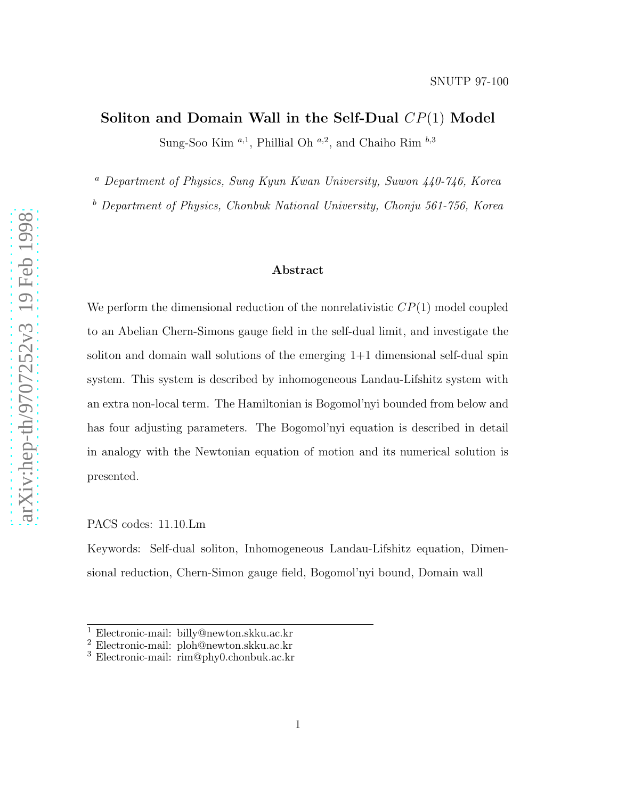SNUTP 97-100

# Soliton and Domain Wall in the Self-Dual  $CP(1)$  Model

Sung-Soo Kim<sup>a,1</sup>, Phillial Oh<sup>a,2</sup>, and Chaiho Rim<sup>b,3</sup>

<sup>a</sup> Department of Physics, Sung Kyun Kwan University, Suwon 440-746, Korea

 $b$  Department of Physics, Chonbuk National University, Chonju 561-756, Korea

#### Abstract

We perform the dimensional reduction of the nonrelativistic  $CP(1)$  model coupled to an Abelian Chern-Simons gauge field in the self-dual limit, and investigate the soliton and domain wall solutions of the emerging 1+1 dimensional self-dual spin system. This system is described by inhomogeneous Landau-Lifshitz system with an extra non-local term. The Hamiltonian is Bogomol'nyi bounded from below and has four adjusting parameters. The Bogomol'nyi equation is described in detail in analogy with the Newtonian equation of motion and its numerical solution is presented.

PACS codes: 11.10.Lm

Keywords: Self-dual soliton, Inhomogeneous Landau-Lifshitz equation, Dimensional reduction, Chern-Simon gauge field, Bogomol'nyi bound, Domain wall

<sup>1</sup> Electronic-mail: billy@newton.skku.ac.kr  $\frac{2}{3}$  Electronic-mail: ploh@newton.skku.ac.kr 3 Electronic-mail: rim@phy0.chonbuk.ac.kr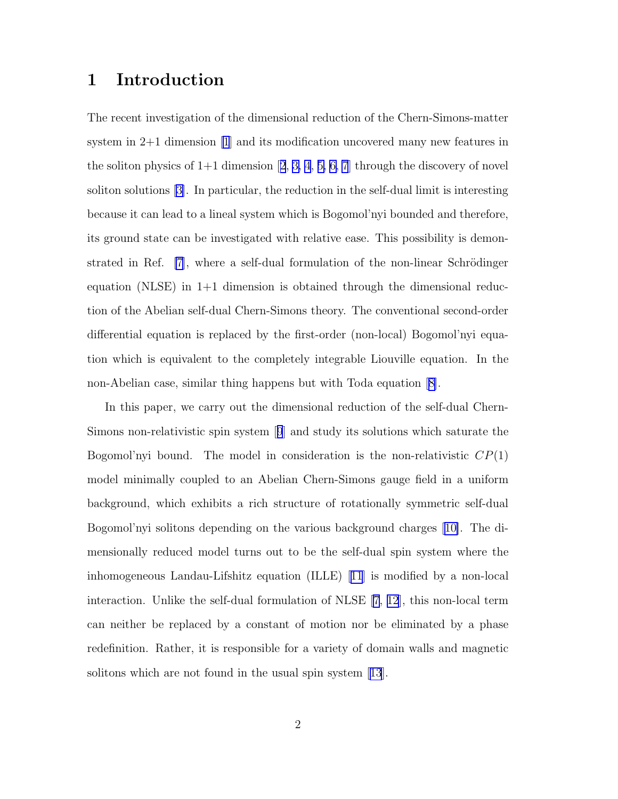### 1 Introduction

The recent investigation of the dimensional reduction of the Chern-Simons-matter system in 2+1 dimension [\[1](#page-14-0)] and its modification uncovered many new features in thesoliton physics of  $1+1$  dimension  $[2, 3, 4, 5, 6, 7]$  $[2, 3, 4, 5, 6, 7]$  $[2, 3, 4, 5, 6, 7]$  $[2, 3, 4, 5, 6, 7]$  $[2, 3, 4, 5, 6, 7]$  $[2, 3, 4, 5, 6, 7]$  $[2, 3, 4, 5, 6, 7]$  through the discovery of novel soliton solutions[[3\]](#page-14-0). In particular, the reduction in the self-dual limit is interesting because it can lead to a lineal system which is Bogomol'nyi bounded and therefore, its ground state can be investigated with relative ease. This possibility is demonstrated in Ref.  $|7|$ , where a self-dual formulation of the non-linear Schrödinger equation (NLSE) in  $1+1$  dimension is obtained through the dimensional reduction of the Abelian self-dual Chern-Simons theory. The conventional second-order differential equation is replaced by the first-order (non-local) Bogomol'nyi equation which is equivalent to the completely integrable Liouville equation. In the non-Abelian case, similar thing happens but with Toda equation[[8\]](#page-15-0).

In this paper, we carry out the dimensional reduction of the self-dual Chern-Simons non-relativistic spin system[[9](#page-15-0)] and study its solutions which saturate the Bogomol'nyi bound. The model in consideration is the non-relativistic  $CP(1)$ model minimally coupled to an Abelian Chern-Simons gauge field in a uniform background, which exhibits a rich structure of rotationally symmetric self-dual Bogomol'nyi solitons depending on the various background charges [[10\]](#page-15-0). The dimensionally reduced model turns out to be the self-dual spin system where the inhomogeneous Landau-Lifshitz equation (ILLE)[[11](#page-15-0)] is modified by a non-local interaction. Unlike the self-dual formulation of NLSE [\[7](#page-15-0), [12](#page-15-0)], this non-local term can neither be replaced by a constant of motion nor be eliminated by a phase redefinition. Rather, it is responsible for a variety of domain walls and magnetic solitonswhich are not found in the usual spin system [[13](#page-15-0)].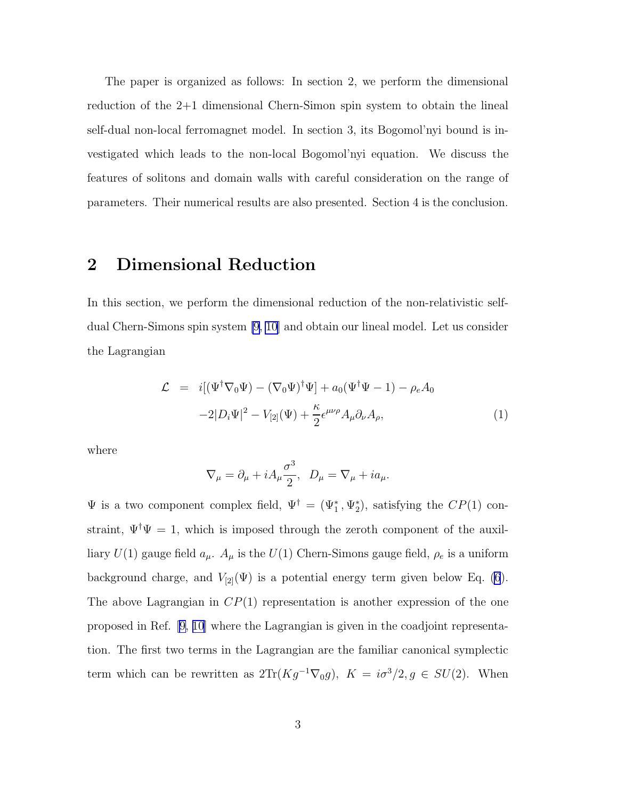The paper is organized as follows: In section 2, we perform the dimensional reduction of the 2+1 dimensional Chern-Simon spin system to obtain the lineal self-dual non-local ferromagnet model. In section 3, its Bogomol'nyi bound is investigated which leads to the non-local Bogomol'nyi equation. We discuss the features of solitons and domain walls with careful consideration on the range of parameters. Their numerical results are also presented. Section 4 is the conclusion.

### 2 Dimensional Reduction

In this section, we perform the dimensional reduction of the non-relativistic selfdual Chern-Simons spin system [\[9](#page-15-0), [10](#page-15-0)] and obtain our lineal model. Let us consider the Lagrangian

$$
\mathcal{L} = i[(\Psi^{\dagger} \nabla_0 \Psi) - (\nabla_0 \Psi)^{\dagger} \Psi] + a_0 (\Psi^{\dagger} \Psi - 1) - \rho_e A_0
$$
  

$$
-2|D_i \Psi|^2 - V_{[2]}(\Psi) + \frac{\kappa}{2} \epsilon^{\mu\nu\rho} A_\mu \partial_\nu A_\rho, \tag{1}
$$

where

$$
\nabla_{\mu} = \partial_{\mu} + iA_{\mu} \frac{\sigma^3}{2}, \quad D_{\mu} = \nabla_{\mu} + i a_{\mu}.
$$

 $\Psi$  is a two component complex field,  $\Psi^{\dagger} = (\Psi_1^*, \Psi_2^*)$ , satisfying the  $CP(1)$  constraint,  $\Psi^{\dagger}\Psi = 1$ , which is imposed through the zeroth component of the auxilliary  $U(1)$  gauge field  $a_{\mu}$ .  $A_{\mu}$  is the  $U(1)$  Chern-Simons gauge field,  $\rho_e$  is a uniform background charge, and  $V_{[2]}(\Psi)$  is a potential energy term given below Eq. [\(6](#page-3-0)). The above Lagrangian in  $CP(1)$  representation is another expression of the one proposed in Ref.[[9, 10](#page-15-0)] where the Lagrangian is given in the coadjoint representation. The first two terms in the Lagrangian are the familiar canonical symplectic term which can be rewritten as  $2\text{Tr}(Kg^{-1}\nabla_0 g)$ ,  $K = i\sigma^3/2, g \in SU(2)$ . When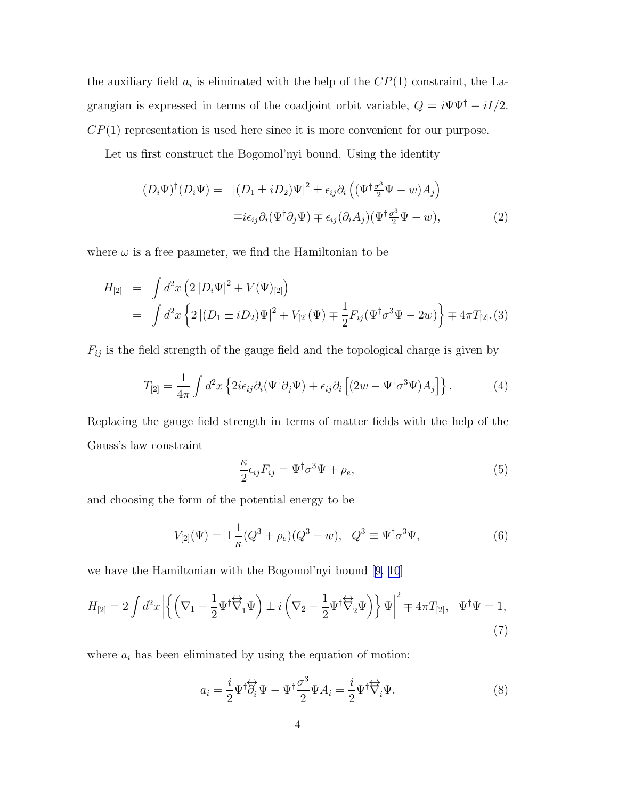<span id="page-3-0"></span>the auxiliary field  $a_i$  is eliminated with the help of the  $CP(1)$  constraint, the Lagrangian is expressed in terms of the coadjoint orbit variable,  $Q = i\Psi\Psi^{\dagger} - iI/2$ .  $CP(1)$  representation is used here since it is more convenient for our purpose.

Let us first construct the Bogomol'nyi bound. Using the identity

$$
(D_i\Psi)^{\dagger}(D_i\Psi) = |(D_1 \pm iD_2)\Psi|^2 \pm \epsilon_{ij}\partial_i\left((\Psi^{\dagger}\frac{\sigma^3}{2}\Psi - w)A_j\right)
$$

$$
\mp i\epsilon_{ij}\partial_i(\Psi^{\dagger}\partial_j\Psi) \mp \epsilon_{ij}(\partial_i A_j)(\Psi^{\dagger}\frac{\sigma^3}{2}\Psi - w), \tag{2}
$$

where  $\omega$  is a free paameter, we find the Hamiltonian to be

$$
H_{[2]} = \int d^2x \left( 2 |D_i \Psi|^2 + V(\Psi)_{[2]} \right)
$$
  
= 
$$
\int d^2x \left\{ 2 |(D_1 \pm iD_2)\Psi|^2 + V_{[2]}(\Psi) \mp \frac{1}{2} F_{ij}(\Psi^\dagger \sigma^3 \Psi - 2w) \right\} \mp 4\pi T_{[2]}.(3)
$$

 $F_{ij}$  is the field strength of the gauge field and the topological charge is given by

$$
T_{[2]} = \frac{1}{4\pi} \int d^2x \left\{ 2i\epsilon_{ij}\partial_i(\Psi^\dagger \partial_j \Psi) + \epsilon_{ij}\partial_i \left[ (2w - \Psi^\dagger \sigma^3 \Psi) A_j \right] \right\}.
$$
 (4)

Replacing the gauge field strength in terms of matter fields with the help of the Gauss's law constraint

$$
\frac{\kappa}{2}\epsilon_{ij}F_{ij} = \Psi^{\dagger}\sigma^3\Psi + \rho_e,\tag{5}
$$

and choosing the form of the potential energy to be

$$
V_{[2]}(\Psi) = \pm \frac{1}{\kappa} (Q^3 + \rho_e)(Q^3 - w), \ \ Q^3 \equiv \Psi^{\dagger} \sigma^3 \Psi,
$$
\n(6)

we have the Hamiltonian with the Bogomol'nyi bound[[9, 10](#page-15-0)]

$$
H_{[2]} = 2 \int d^2x \left| \left\{ \left( \nabla_1 - \frac{1}{2} \Psi^\dagger \overleftrightarrow{\nabla}_1 \Psi \right) \pm i \left( \nabla_2 - \frac{1}{2} \Psi^\dagger \overleftrightarrow{\nabla}_2 \Psi \right) \right\} \Psi \right|^2 \mp 4\pi T_{[2]}, \quad \Psi^\dagger \Psi = 1,
$$
\n(7)

where  $a_i$  has been eliminated by using the equation of motion:

$$
a_i = \frac{i}{2} \Psi^{\dagger} \overleftrightarrow{\partial_i} \Psi - \Psi^{\dagger} \frac{\sigma^3}{2} \Psi A_i = \frac{i}{2} \Psi^{\dagger} \overleftrightarrow{\nabla}_i \Psi.
$$
 (8)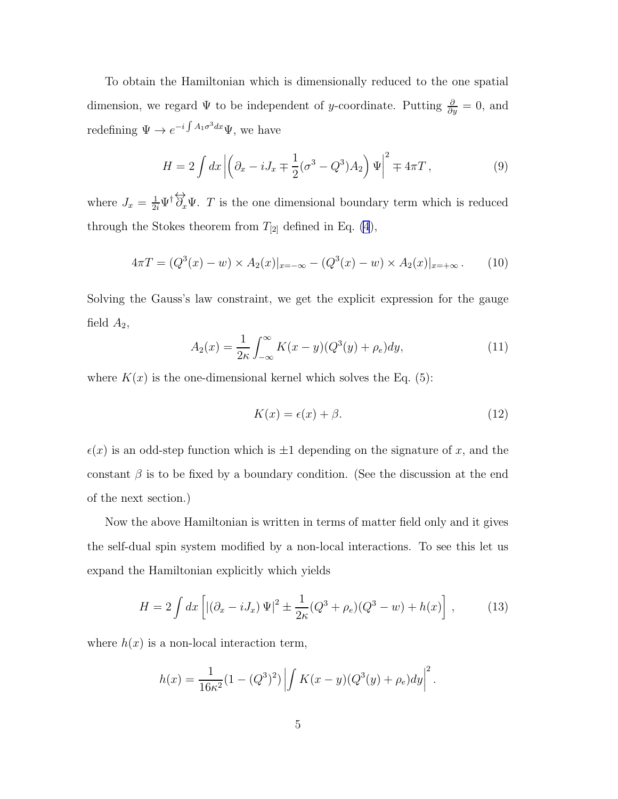<span id="page-4-0"></span>To obtain the Hamiltonian which is dimensionally reduced to the one spatial dimension, we regard  $\Psi$  to be independent of y-coordinate. Putting  $\frac{\partial}{\partial y} = 0$ , and redefining  $\Psi \to e^{-i \int A_1 \sigma^3 dx} \Psi$ , we have

$$
H = 2 \int dx \left| \left( \partial_x - i J_x \mp \frac{1}{2} (\sigma^3 - Q^3) A_2 \right) \Psi \right|^2 \mp 4\pi T , \qquad (9)
$$

where  $J_x = \frac{1}{2i} \Psi^{\dagger} \overleftrightarrow{\partial}_x \Psi$ . T is the one dimensional boundary term which is reduced through the Stokes theorem from  $T_{[2]}$  defined in Eq. [\(4](#page-3-0)),

$$
4\pi T = (Q^3(x) - w) \times A_2(x)|_{x = -\infty} - (Q^3(x) - w) \times A_2(x)|_{x = +\infty}.
$$
 (10)

Solving the Gauss's law constraint, we get the explicit expression for the gauge field  $A_2$ ,

$$
A_2(x) = \frac{1}{2\kappa} \int_{-\infty}^{\infty} K(x - y)(Q^3(y) + \rho_e) dy,
$$
 (11)

where  $K(x)$  is the one-dimensional kernel which solves the Eq. (5):

$$
K(x) = \epsilon(x) + \beta. \tag{12}
$$

 $\epsilon(x)$  is an odd-step function which is  $\pm 1$  depending on the signature of x, and the constant  $\beta$  is to be fixed by a boundary condition. (See the discussion at the end of the next section.)

Now the above Hamiltonian is written in terms of matter field only and it gives the self-dual spin system modified by a non-local interactions. To see this let us expand the Hamiltonian explicitly which yields

$$
H = 2 \int dx \left[ |(\partial_x - iJ_x) \Psi|^2 \pm \frac{1}{2\kappa} (Q^3 + \rho_e)(Q^3 - w) + h(x) \right],
$$
 (13)

where  $h(x)$  is a non-local interaction term,

$$
h(x) = \frac{1}{16\kappa^2} (1 - (Q^3)^2) \left| \int K(x - y)(Q^3(y) + \rho_e) dy \right|^2.
$$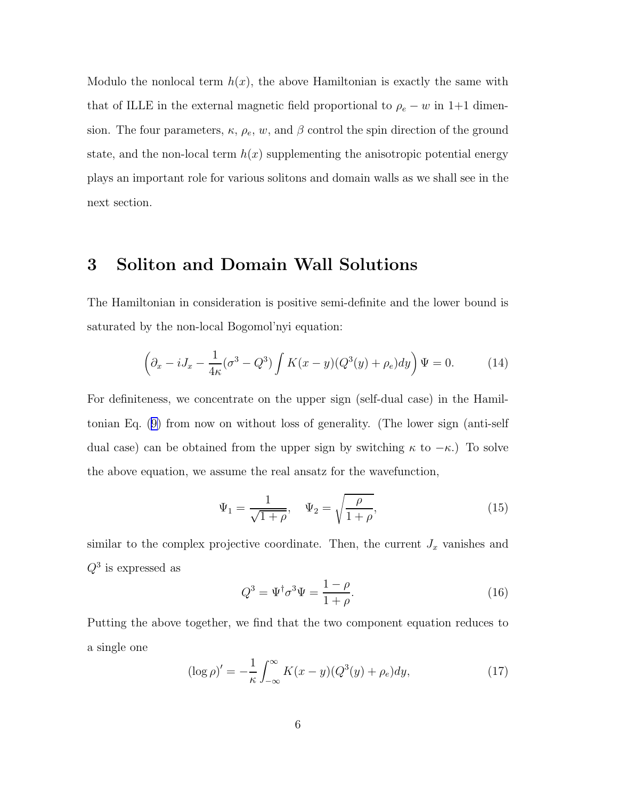Modulo the nonlocal term  $h(x)$ , the above Hamiltonian is exactly the same with that of ILLE in the external magnetic field proportional to  $\rho_e - w$  in 1+1 dimension. The four parameters,  $\kappa$ ,  $\rho_e$ ,  $w$ , and  $\beta$  control the spin direction of the ground state, and the non-local term  $h(x)$  supplementing the anisotropic potential energy plays an important role for various solitons and domain walls as we shall see in the next section.

# 3 Soliton and Domain Wall Solutions

The Hamiltonian in consideration is positive semi-definite and the lower bound is saturated by the non-local Bogomol'nyi equation:

$$
\left(\partial_x - iJ_x - \frac{1}{4\kappa}(\sigma^3 - Q^3)\int K(x - y)(Q^3(y) + \rho_e)dy\right)\Psi = 0.
$$
 (14)

For definiteness, we concentrate on the upper sign (self-dual case) in the Hamiltonian Eq.([9\)](#page-4-0) from now on without loss of generality. (The lower sign (anti-self dual case) can be obtained from the upper sign by switching  $\kappa$  to  $-\kappa$ .) To solve the above equation, we assume the real ansatz for the wavefunction,

$$
\Psi_1 = \frac{1}{\sqrt{1+\rho}}, \quad \Psi_2 = \sqrt{\frac{\rho}{1+\rho}},
$$
\n(15)

similar to the complex projective coordinate. Then, the current  $J_x$  vanishes and  $Q^3$  is expressed as

$$
Q^3 = \Psi^\dagger \sigma^3 \Psi = \frac{1 - \rho}{1 + \rho}.\tag{16}
$$

Putting the above together, we find that the two component equation reduces to a single one

$$
(\log \rho)' = -\frac{1}{\kappa} \int_{-\infty}^{\infty} K(x - y)(Q^3(y) + \rho_e) dy, \qquad (17)
$$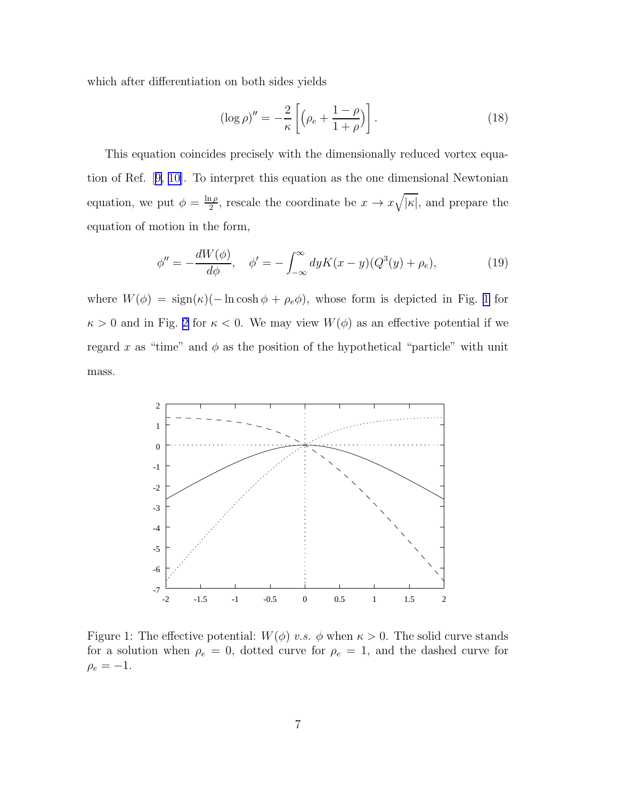<span id="page-6-0"></span>which after differentiation on both sides yields

$$
(\log \rho)'' = -\frac{2}{\kappa} \left[ \left( \rho_e + \frac{1-\rho}{1+\rho} \right) \right]. \tag{18}
$$

This equation coincides precisely with the dimensionally reduced vortex equation of Ref.[[9, 10\]](#page-15-0). To interpret this equation as the one dimensional Newtonian equation, we put  $\phi = \frac{\ln \rho}{2}$  $\frac{1}{2}$ , rescale the coordinate be  $x \to x\sqrt{|\kappa|}$ , and prepare the equation of motion in the form,

$$
\phi'' = -\frac{dW(\phi)}{d\phi}, \quad \phi' = -\int_{-\infty}^{\infty} dy K(x - y)(Q^3(y) + \rho_e), \tag{19}
$$

where  $W(\phi) = \text{sign}(\kappa)(-\ln \cosh \phi + \rho_e \phi)$ , whose form is depicted in Fig. 1 for  $\kappa > 0$  and in Fig. [2](#page-7-0) for  $\kappa < 0$ . We may view  $W(\phi)$  as an effective potential if we regard x as "time" and  $\phi$  as the position of the hypothetical "particle" with unit mass.



Figure 1: The effective potential:  $W(\phi)$  v.s.  $\phi$  when  $\kappa > 0$ . The solid curve stands for a solution when  $\rho_e = 0$ , dotted curve for  $\rho_e = 1$ , and the dashed curve for  $\rho_e = -1.$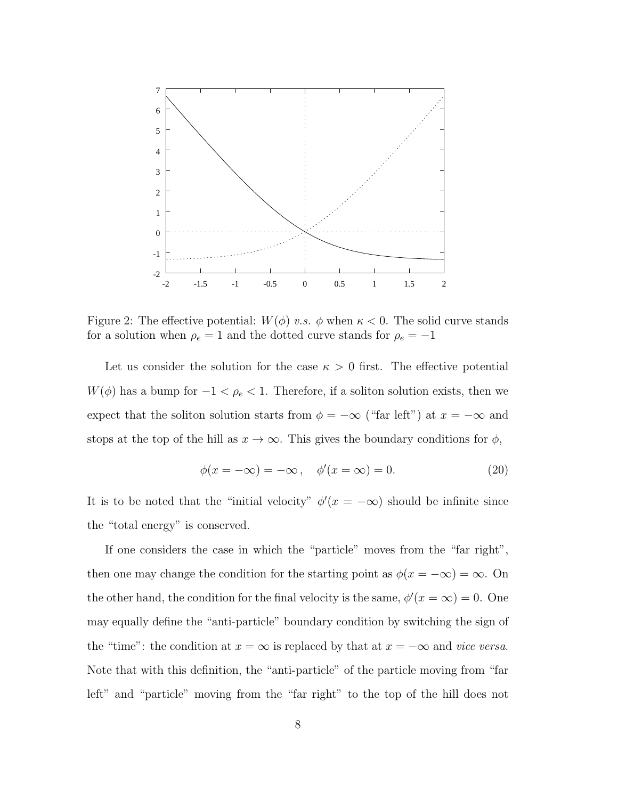<span id="page-7-0"></span>

Figure 2: The effective potential:  $W(\phi)$  v.s.  $\phi$  when  $\kappa < 0$ . The solid curve stands for a solution when  $\rho_e = 1$  and the dotted curve stands for  $\rho_e = -1$ 

Let us consider the solution for the case  $\kappa > 0$  first. The effective potential  $W(\phi)$  has a bump for  $-1 < \rho_e < 1$ . Therefore, if a soliton solution exists, then we expect that the soliton solution starts from  $\phi = -\infty$  ("far left") at  $x = -\infty$  and stops at the top of the hill as  $x \to \infty$ . This gives the boundary conditions for  $\phi$ ,

$$
\phi(x = -\infty) = -\infty, \quad \phi'(x = \infty) = 0.
$$
\n(20)

It is to be noted that the "initial velocity"  $\phi'(x = -\infty)$  should be infinite since the "total energy" is conserved.

If one considers the case in which the "particle" moves from the "far right", then one may change the condition for the starting point as  $\phi(x = -\infty) = \infty$ . On the other hand, the condition for the final velocity is the same,  $\phi'(x = \infty) = 0$ . One may equally define the "anti-particle" boundary condition by switching the sign of the "time": the condition at  $x = \infty$  is replaced by that at  $x = -\infty$  and vice versa. Note that with this definition, the "anti-particle" of the particle moving from "far left" and "particle" moving from the "far right" to the top of the hill does not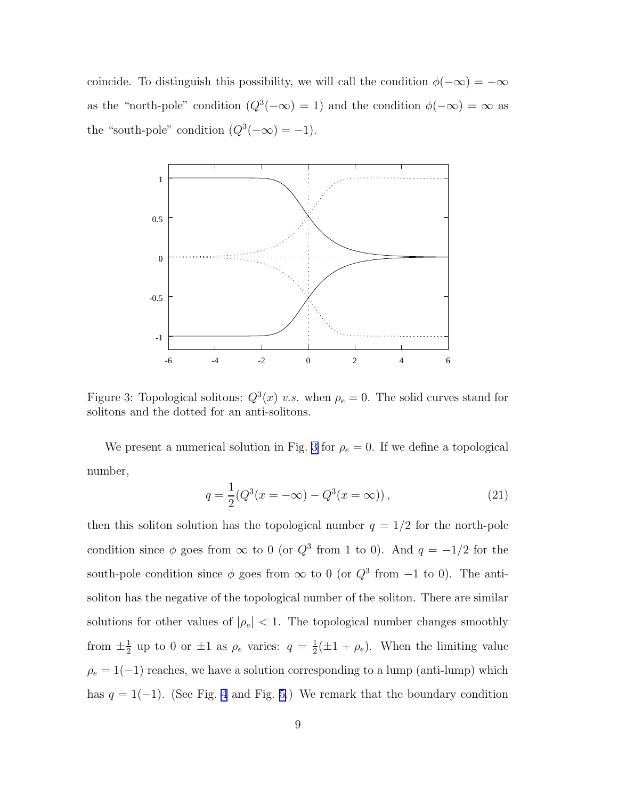coincide. To distinguish this possibility, we will call the condition  $\phi(-\infty) = -\infty$ as the "north-pole" condition  $(Q^3(-\infty) = 1)$  and the condition  $\phi(-\infty) = \infty$  as the "south-pole" condition  $(Q^3(-\infty) = -1)$ .



Figure 3: Topological solitons:  $Q^3(x)$  v.s. when  $\rho_e = 0$ . The solid curves stand for solitons and the dotted for an anti-solitons.

We present a numerical solution in Fig. 3 for  $\rho_e = 0$ . If we define a topological number,

$$
q = \frac{1}{2}(Q^3(x = -\infty) - Q^3(x = \infty)),
$$
\n(21)

then this soliton solution has the topological number  $q = 1/2$  for the north-pole condition since  $\phi$  goes from  $\infty$  to 0 (or  $Q^3$  from 1 to 0). And  $q = -1/2$  for the south-pole condition since  $\phi$  goes from  $\infty$  to 0 (or  $Q^3$  from  $-1$  to 0). The antisoliton has the negative of the topological number of the soliton. There are similar solutions for other values of  $|\rho_e| < 1$ . The topological number changes smoothly from  $\pm \frac{1}{2}$  $\frac{1}{2}$  up to 0 or  $\pm 1$  as  $\rho_e$  varies:  $q = \frac{1}{2}$  $\frac{1}{2}(\pm 1 + \rho_e)$ . When the limiting value  $\rho_e=1(-1)$  reaches, we have a solution corresponding to a lump (anti-lump) which has  $q = 1(-1)$ . (See Fig. [4](#page-9-0) and Fig. [5.](#page-10-0)) We remark that the boundary condition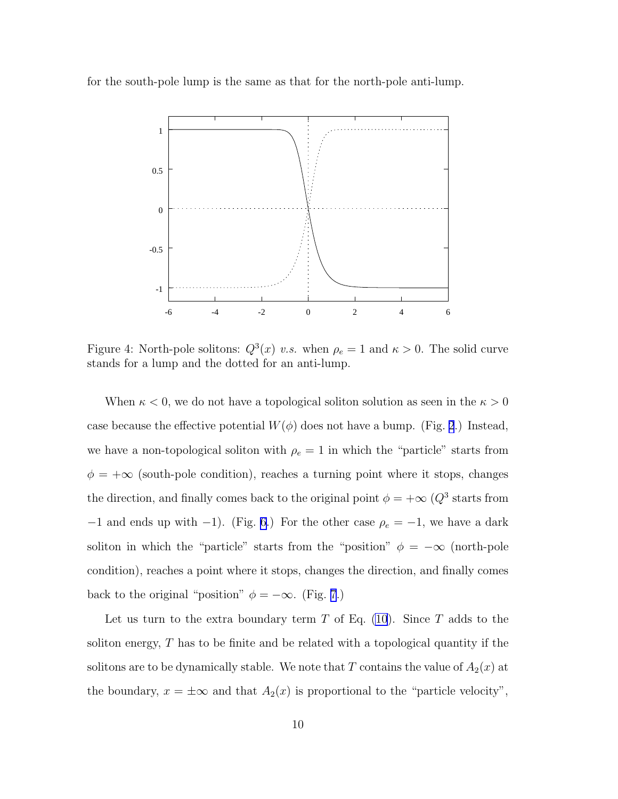<span id="page-9-0"></span>for the south-pole lump is the same as that for the north-pole anti-lump.



Figure 4: North-pole solitons:  $Q^3(x)$  v.s. when  $\rho_e = 1$  and  $\kappa > 0$ . The solid curve stands for a lump and the dotted for an anti-lump.

When  $\kappa < 0$ , we do not have a topological soliton solution as seen in the  $\kappa > 0$ case because the effective potential  $W(\phi)$  does not have a bump. (Fig. [2](#page-7-0).) Instead, we have a non-topological soliton with  $\rho_e = 1$  in which the "particle" starts from  $\phi = +\infty$  (south-pole condition), reaches a turning point where it stops, changes the direction, and finally comes back to the original point  $\phi = +\infty$  ( $Q^3$  starts from −1 and ends up with −1). (Fig. [6.](#page-11-0)) For the other case  $\rho_e = -1$ , we have a dark soliton in which the "particle" starts from the "position"  $\phi = -\infty$  (north-pole condition), reaches a point where it stops, changes the direction, and finally comes back to the original "position"  $\phi = -\infty$ . (Fig. [7](#page-12-0).)

Let us turn to the extra boundary term  $T$  of Eq. [\(10](#page-4-0)). Since  $T$  adds to the soliton energy, T has to be finite and be related with a topological quantity if the solitons are to be dynamically stable. We note that T contains the value of  $A_2(x)$  at the boundary,  $x = \pm \infty$  and that  $A_2(x)$  is proportional to the "particle velocity",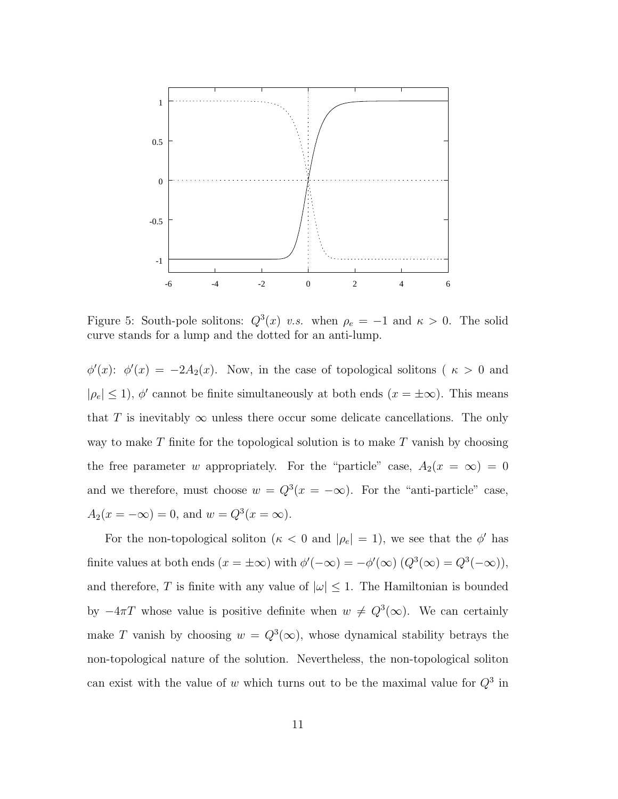<span id="page-10-0"></span>

Figure 5: South-pole solitons:  $Q^3(x)$  v.s. when  $\rho_e = -1$  and  $\kappa > 0$ . The solid curve stands for a lump and the dotted for an anti-lump.

 $\phi'(x)$ :  $\phi'(x) = -2A_2(x)$ . Now, in the case of topological solitons ( $\kappa > 0$  and  $|\rho_e| \le 1$ ),  $\phi'$  cannot be finite simultaneously at both ends  $(x = \pm \infty)$ . This means that T is inevitably  $\infty$  unless there occur some delicate cancellations. The only way to make  $T$  finite for the topological solution is to make  $T$  vanish by choosing the free parameter w appropriately. For the "particle" case,  $A_2(x = \infty) = 0$ and we therefore, must choose  $w = Q^3(x = -\infty)$ . For the "anti-particle" case,  $A_2(x = -\infty) = 0$ , and  $w = Q^3(x = \infty)$ .

For the non-topological soliton ( $\kappa < 0$  and  $|\rho_e| = 1$ ), we see that the  $\phi'$  has finite values at both ends  $(x = \pm \infty)$  with  $\phi'(-\infty) = -\phi'(\infty) (Q^3(\infty) = Q^3(-\infty)),$ and therefore, T is finite with any value of  $|\omega| \leq 1$ . The Hamiltonian is bounded by  $-4\pi T$  whose value is positive definite when  $w \neq Q^3(\infty)$ . We can certainly make T vanish by choosing  $w = Q^3(\infty)$ , whose dynamical stability betrays the non-topological nature of the solution. Nevertheless, the non-topological soliton can exist with the value of w which turns out to be the maximal value for  $Q^3$  in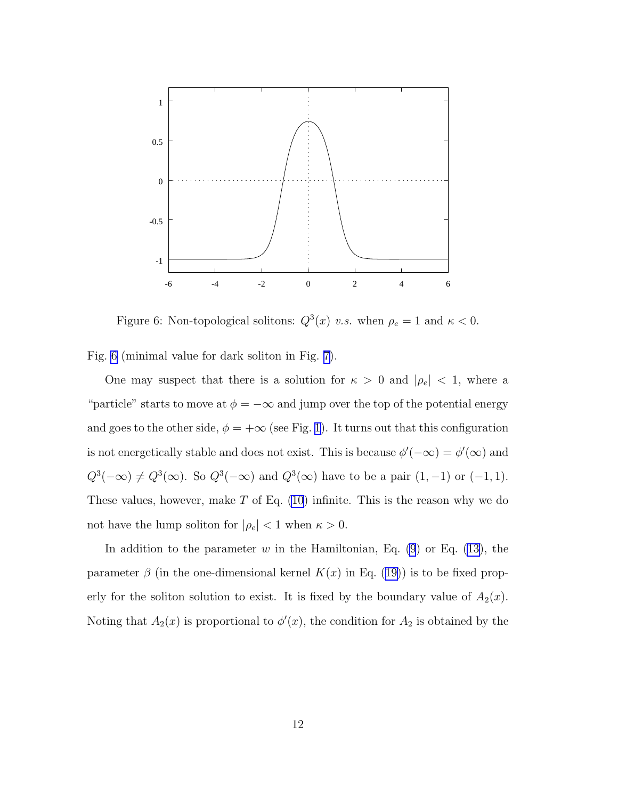<span id="page-11-0"></span>

Figure 6: Non-topological solitons:  $Q^3(x)$  v.s. when  $\rho_e = 1$  and  $\kappa < 0$ .

Fig. 6 (minimal value for dark soliton in Fig. [7\)](#page-12-0).

One may suspect that there is a solution for  $\kappa > 0$  and  $|\rho_e| < 1$ , where a "particle" starts to move at  $\phi = -\infty$  and jump over the top of the potential energy and goes to the other side,  $\phi = +\infty$  (see Fig. [1\)](#page-6-0). It turns out that this configuration is not energetically stable and does not exist. This is because  $\phi'(-\infty) = \phi'(\infty)$  and  $Q^3(-\infty) \neq Q^3(\infty)$ . So  $Q^3(-\infty)$  and  $Q^3(\infty)$  have to be a pair  $(1, -1)$  or  $(-1, 1)$ . These values, however, make  $T$  of Eq. [\(10](#page-4-0)) infinite. This is the reason why we do not have the lump soliton for  $|\rho_e|<1$  when  $\kappa>0.$ 

In addition to the parameter w in the Hamiltonian, Eq.  $(9)$  or Eq.  $(13)$ , the parameter $\beta$  (in the one-dimensional kernel  $K(x)$  in Eq. ([19\)](#page-6-0)) is to be fixed properly for the soliton solution to exist. It is fixed by the boundary value of  $A_2(x)$ . Noting that  $A_2(x)$  is proportional to  $\phi'(x)$ , the condition for  $A_2$  is obtained by the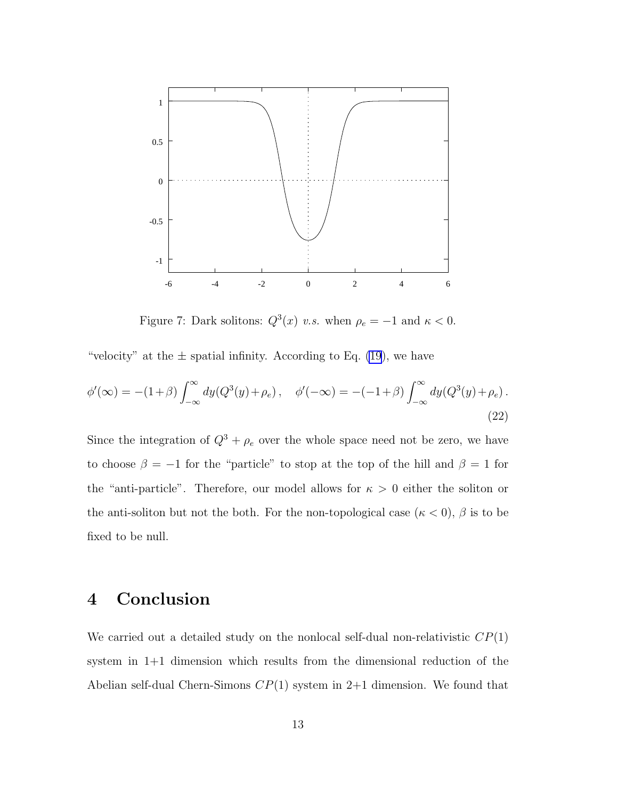<span id="page-12-0"></span>

Figure 7: Dark solitons:  $Q^3(x)$  v.s. when  $\rho_e = -1$  and  $\kappa < 0$ .

"velocity" at the  $\pm$  spatial infinity. According to Eq. [\(19](#page-6-0)), we have

$$
\phi'(\infty) = -(1+\beta) \int_{-\infty}^{\infty} dy (Q^3(y) + \rho_e), \quad \phi'(-\infty) = -(-1+\beta) \int_{-\infty}^{\infty} dy (Q^3(y) + \rho_e).
$$
\n(22)

Since the integration of  $Q^3 + \rho_e$  over the whole space need not be zero, we have to choose  $\beta = -1$  for the "particle" to stop at the top of the hill and  $\beta = 1$  for the "anti-particle". Therefore, our model allows for  $\kappa > 0$  either the soliton or the anti-soliton but not the both. For the non-topological case ( $\kappa$  < 0),  $\beta$  is to be fixed to be null.

# 4 Conclusion

We carried out a detailed study on the nonlocal self-dual non-relativistic  $CP(1)$ system in 1+1 dimension which results from the dimensional reduction of the Abelian self-dual Chern-Simons  $CP(1)$  system in 2+1 dimension. We found that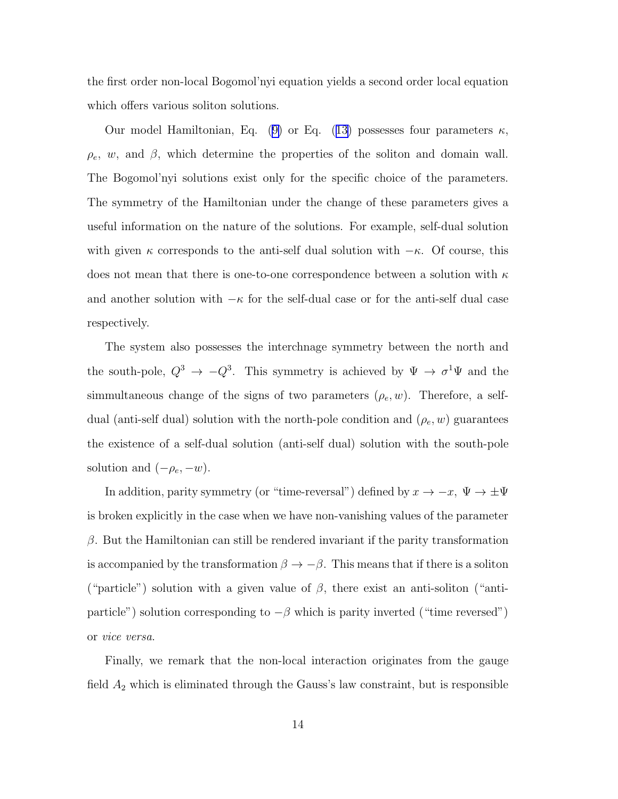the first order non-local Bogomol'nyi equation yields a second order local equation which offers various soliton solutions.

Ourmodel Hamiltonian, Eq. ([9\)](#page-4-0) or Eq. ([13\)](#page-4-0) possesses four parameters  $\kappa$ ,  $\rho_e$ , w, and  $\beta$ , which determine the properties of the soliton and domain wall. The Bogomol'nyi solutions exist only for the specific choice of the parameters. The symmetry of the Hamiltonian under the change of these parameters gives a useful information on the nature of the solutions. For example, self-dual solution with given  $\kappa$  corresponds to the anti-self dual solution with  $-\kappa$ . Of course, this does not mean that there is one-to-one correspondence between a solution with  $\kappa$ and another solution with  $-\kappa$  for the self-dual case or for the anti-self dual case respectively.

The system also possesses the interchnage symmetry between the north and the south-pole,  $Q^3 \to -Q^3$ . This symmetry is achieved by  $\Psi \to \sigma^1 \Psi$  and the simmultaneous change of the signs of two parameters  $(\rho_e, w)$ . Therefore, a selfdual (anti-self dual) solution with the north-pole condition and  $(\rho_e, w)$  guarantees the existence of a self-dual solution (anti-self dual) solution with the south-pole solution and  $(-\rho_e, -w)$ .

In addition, parity symmetry (or "time-reversal") defined by  $x \to -x$ ,  $\Psi \to \pm \Psi$ is broken explicitly in the case when we have non-vanishing values of the parameter  $\beta$ . But the Hamiltonian can still be rendered invariant if the parity transformation is accompanied by the transformation  $\beta \to -\beta$ . This means that if there is a soliton ("particle") solution with a given value of  $\beta$ , there exist an anti-soliton ("antiparticle") solution corresponding to  $-\beta$  which is parity inverted ("time reversed") or vice versa.

Finally, we remark that the non-local interaction originates from the gauge field  $A_2$  which is eliminated through the Gauss's law constraint, but is responsible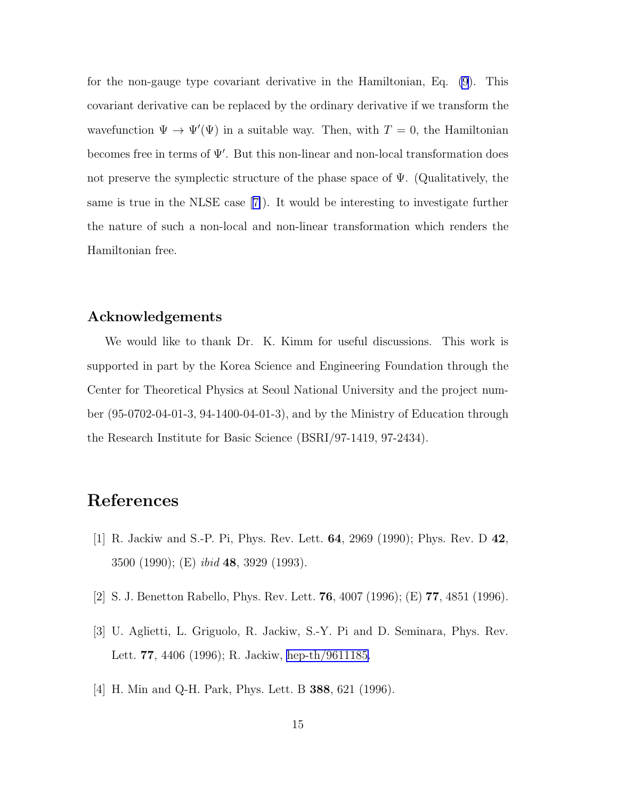<span id="page-14-0"></span>for the non-gauge type covariant derivative in the Hamiltonian, Eq. [\(9](#page-4-0)). This covariant derivative can be replaced by the ordinary derivative if we transform the wavefunction  $\Psi \to \Psi'(\Psi)$  in a suitable way. Then, with  $T=0$ , the Hamiltonian becomes free in terms of Ψ′ . But this non-linear and non-local transformation does not preserve the symplectic structure of the phase space of  $\Psi$ . (Qualitatively, the sameis true in the NLSE case  $|7|$ . It would be interesting to investigate further the nature of such a non-local and non-linear transformation which renders the Hamiltonian free.

#### Acknowledgements

We would like to thank Dr. K. Kimm for useful discussions. This work is supported in part by the Korea Science and Engineering Foundation through the Center for Theoretical Physics at Seoul National University and the project number (95-0702-04-01-3, 94-1400-04-01-3), and by the Ministry of Education through the Research Institute for Basic Science (BSRI/97-1419, 97-2434).

## References

- [1] R. Jackiw and S.-P. Pi, Phys. Rev. Lett. 64, 2969 (1990); Phys. Rev. D 42, 3500 (1990); (E) ibid 48, 3929 (1993).
- [2] S. J. Benetton Rabello, Phys. Rev. Lett. 76, 4007 (1996); (E) 77, 4851 (1996).
- [3] U. Aglietti, L. Griguolo, R. Jackiw, S.-Y. Pi and D. Seminara, Phys. Rev. Lett. 77, 4406 (1996); R. Jackiw, [hep-th/9611185.](http://arxiv.org/abs/hep-th/9611185)
- [4] H. Min and Q-H. Park, Phys. Lett. B 388, 621 (1996).